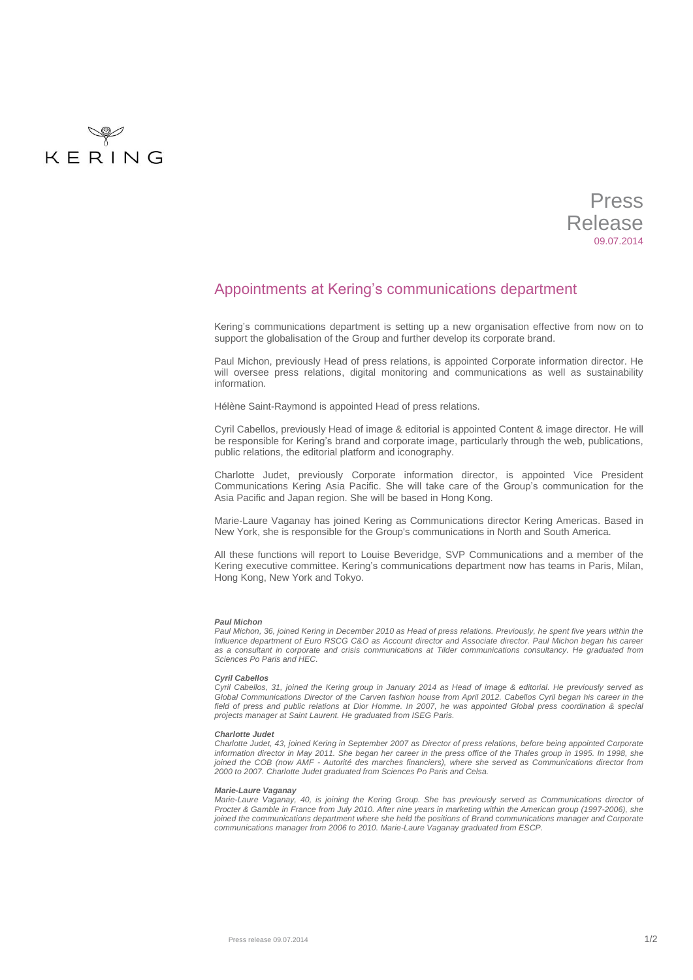

# Press Release 09.07.2014

# Appointments at Kering's communications department

Kering's communications department is setting up a new organisation effective from now on to support the globalisation of the Group and further develop its corporate brand.

Paul Michon, previously Head of press relations, is appointed Corporate information director. He will oversee press relations, digital monitoring and communications as well as sustainability information.

Hélène Saint-Raymond is appointed Head of press relations.

Cyril Cabellos, previously Head of image & editorial is appointed Content & image director. He will be responsible for Kering's brand and corporate image, particularly through the web, publications, public relations, the editorial platform and iconography.

Charlotte Judet, previously Corporate information director, is appointed Vice President Communications Kering Asia Pacific. She will take care of the Group's communication for the Asia Pacific and Japan region. She will be based in Hong Kong.

Marie-Laure Vaganay has joined Kering as Communications director Kering Americas. Based in New York, she is responsible for the Group's communications in North and South America.

All these functions will report to Louise Beveridge, SVP Communications and a member of the Kering executive committee. Kering's communications department now has teams in Paris, Milan, Hong Kong, New York and Tokyo.

#### *Paul Michon*

*Paul Michon, 36, joined Kering in December 2010 as Head of press relations. Previously, he spent five years within the Influence department of Euro RSCG C&O as Account director and Associate director. Paul Michon began his career as a consultant in corporate and crisis communications at Tilder communications consultancy. He graduated from Sciences Po Paris and HEC.*

#### *Cyril Cabellos*

*Cyril Cabellos, 31, joined the Kering group in January 2014 as Head of image & editorial. He previously served as Global Communications Director of the Carven fashion house from April 2012. Cabellos Cyril began his career in the field of press and public relations at Dior Homme. In 2007, he was appointed Global press coordination & special projects manager at Saint Laurent. He graduated from ISEG Paris.*

### *Charlotte Judet*

*Charlotte Judet, 43, joined Kering in September 2007 as Director of press relations, before being appointed Corporate information director in May 2011. She began her career in the press office of the Thales group in 1995. In 1998, she joined the COB (now AMF - Autorité des marches financiers), where she served as Communications director from 2000 to 2007. Charlotte Judet graduated from Sciences Po Paris and Celsa.*

#### *Marie-Laure Vaganay*

*Marie-Laure Vaganay, 40, is joining the Kering Group. She has previously served as Communications director of Procter & Gamble in France from July 2010. After nine years in marketing within the American group (1997-2006), she joined the communications department where she held the positions of Brand communications manager and Corporate communications manager from 2006 to 2010. Marie-Laure Vaganay graduated from ESCP.*